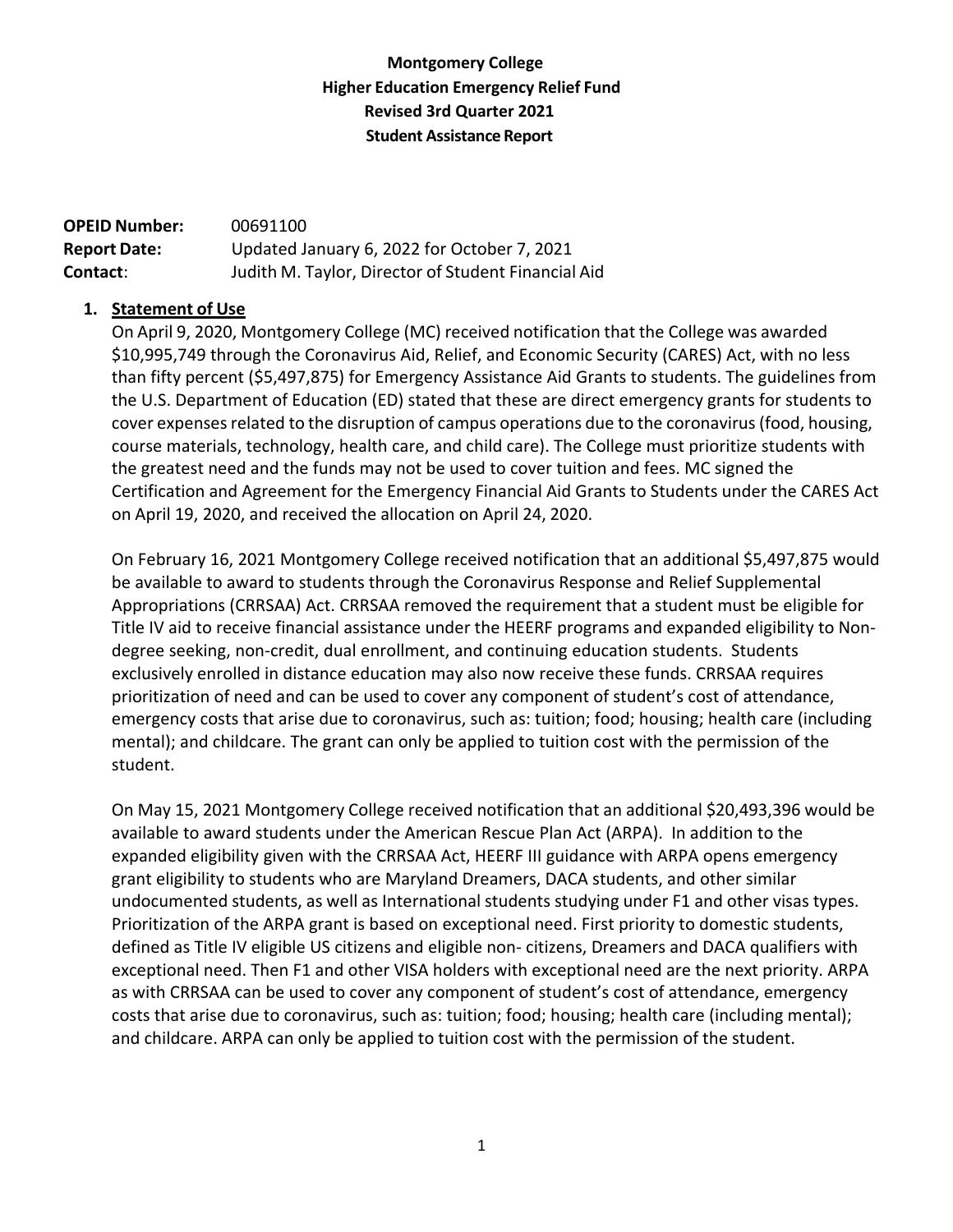# **Montgomery College Higher Education Emergency Relief Fund Revised 3rd Quarter 2021 Student Assistance Report**

| <b>OPEID Number:</b> | 00691100                                            |
|----------------------|-----------------------------------------------------|
| <b>Report Date:</b>  | Updated January 6, 2022 for October 7, 2021         |
| Contact:             | Judith M. Taylor, Director of Student Financial Aid |

#### **1. Statement of Use**

On April 9, 2020, Montgomery College (MC) received notification that the College was awarded \$10,995,749 through the Coronavirus Aid, Relief, and Economic Security (CARES) Act, with no less than fifty percent (\$5,497,875) for Emergency Assistance Aid Grants to students. The guidelines from the U.S. Department of Education (ED) stated that these are direct emergency grants for students to cover expenses related to the disruption of campus operations due to the coronavirus (food, housing, course materials, technology, health care, and child care). The College must prioritize students with the greatest need and the funds may not be used to cover tuition and fees. MC signed the Certification and Agreement for the Emergency Financial Aid Grants to Students under the CARES Act on April 19, 2020, and received the allocation on April 24, 2020.

On February 16, 2021 Montgomery College received notification that an additional \$5,497,875 would be available to award to students through the Coronavirus Response and Relief Supplemental Appropriations (CRRSAA) Act. CRRSAA removed the requirement that a student must be eligible for Title IV aid to receive financial assistance under the HEERF programs and expanded eligibility to Nondegree seeking, non-credit, dual enrollment, and continuing education students. Students exclusively enrolled in distance education may also now receive these funds. CRRSAA requires prioritization of need and can be used to cover any component of student's cost of attendance, emergency costs that arise due to coronavirus, such as: tuition; food; housing; health care (including mental); and childcare. The grant can only be applied to tuition cost with the permission of the student.

On May 15, 2021 Montgomery College received notification that an additional \$20,493,396 would be available to award students under the American Rescue Plan Act (ARPA). In addition to the expanded eligibility given with the CRRSAA Act, HEERF III guidance with ARPA opens emergency grant eligibility to students who are Maryland Dreamers, DACA students, and other similar undocumented students, as well as International students studying under F1 and other visas types. Prioritization of the ARPA grant is based on exceptional need. First priority to domestic students, defined as Title IV eligible US citizens and eligible non- citizens, Dreamers and DACA qualifiers with exceptional need. Then F1 and other VISA holders with exceptional need are the next priority. ARPA as with CRRSAA can be used to cover any component of student's cost of attendance, emergency costs that arise due to coronavirus, such as: tuition; food; housing; health care (including mental); and childcare. ARPA can only be applied to tuition cost with the permission of the student.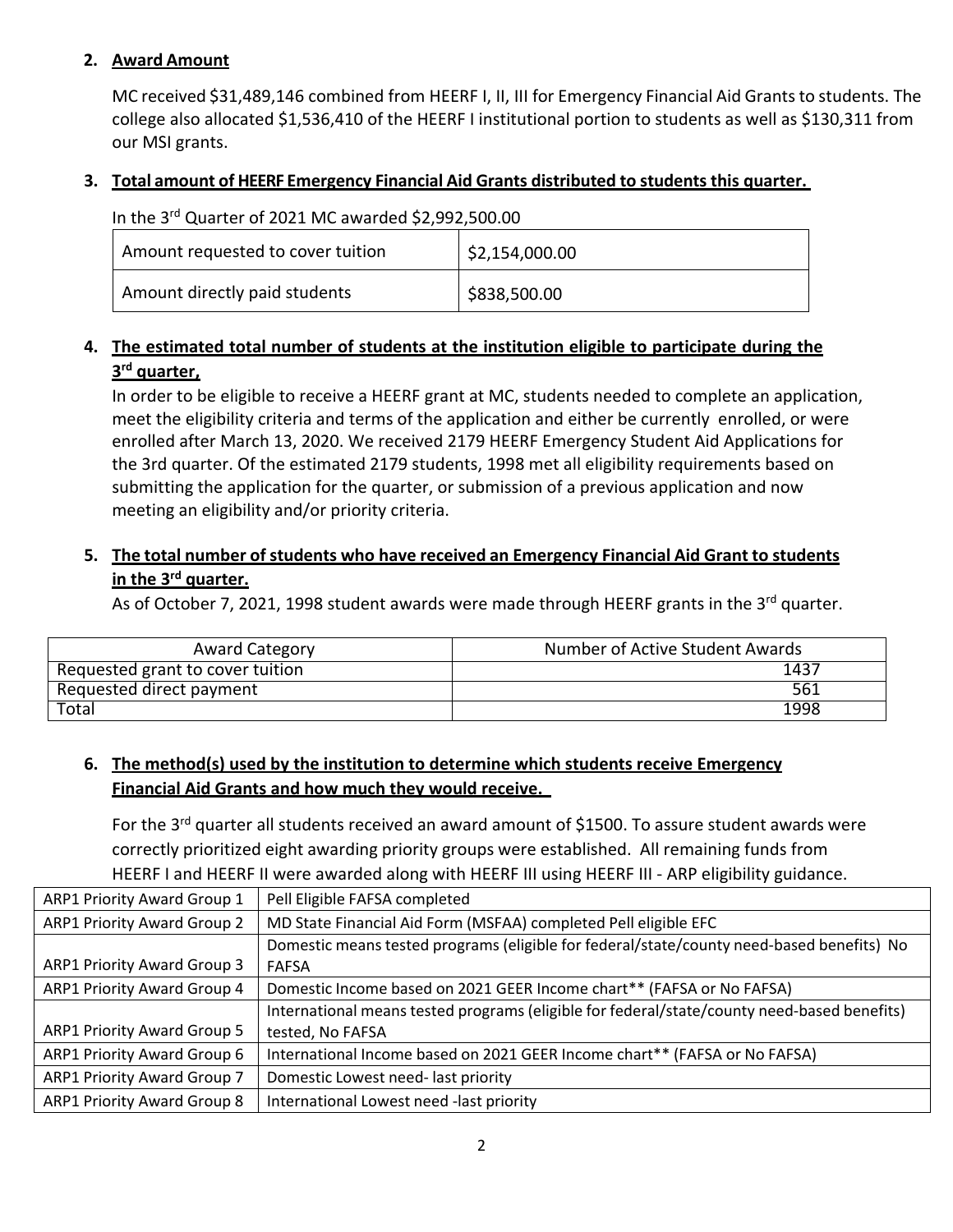### **2. Award Amount**

MC received \$31,489,146 combined from HEERF I, II, III for Emergency Financial Aid Grants to students. The college also allocated \$1,536,410 of the HEERF I institutional portion to students as well as \$130,311 from our MSI grants.

#### **3. Total amount of HEERF Emergency Financial Aid Grants distributed to students this quarter.**

| In the 3rd Quarter of 2021 MC awarded \$2,992,500.00 |                              |  |  |  |
|------------------------------------------------------|------------------------------|--|--|--|
| Amount requested to cover tuition                    | $\frac{1}{2}$ \$2,154,000.00 |  |  |  |
| Amount directly paid students                        | $ $ \$838,500.00             |  |  |  |

# **4. The estimated total number of students at the institution eligible to participate during the 3rd quarter,**

In order to be eligible to receive a HEERF grant at MC, students needed to complete an application, meet the eligibility criteria and terms of the application and either be currently enrolled, or were enrolled after March 13, 2020. We received 2179 HEERF Emergency Student Aid Applications for the 3rd quarter. Of the estimated 2179 students, 1998 met all eligibility requirements based on submitting the application for the quarter, or submission of a previous application and now meeting an eligibility and/or priority criteria.

# **5. The total number of students who have received an Emergency Financial Aid Grant to students in the 3rd quarter.**

As of October 7, 2021, 1998 student awards were made through HEERF grants in the 3<sup>rd</sup> quarter.

| <b>Award Category</b>            | Number of Active Student Awards |
|----------------------------------|---------------------------------|
| Requested grant to cover tuition | 1437                            |
| Requested direct payment         | 561                             |
| Total                            | 1998                            |

# **6. The method(s) used by the institution to determine which students receive Emergency Financial Aid Grants and how much they would receive.**

For the 3<sup>rd</sup> quarter all students received an award amount of \$1500. To assure student awards were correctly prioritized eight awarding priority groups were established. All remaining funds from HEERF I and HEERF II were awarded along with HEERF III using HEERF III - ARP eligibility guidance.

| <b>ARP1 Priority Award Group 1</b> | Pell Eligible FAFSA completed                                                               |
|------------------------------------|---------------------------------------------------------------------------------------------|
| <b>ARP1 Priority Award Group 2</b> | MD State Financial Aid Form (MSFAA) completed Pell eligible EFC                             |
|                                    | Domestic means tested programs (eligible for federal/state/county need-based benefits) No   |
| <b>ARP1 Priority Award Group 3</b> | <b>FAFSA</b>                                                                                |
| <b>ARP1 Priority Award Group 4</b> | Domestic Income based on 2021 GEER Income chart** (FAFSA or No FAFSA)                       |
|                                    | International means tested programs (eligible for federal/state/county need-based benefits) |
| <b>ARP1 Priority Award Group 5</b> | tested, No FAFSA                                                                            |
| <b>ARP1 Priority Award Group 6</b> | International Income based on 2021 GEER Income chart** (FAFSA or No FAFSA)                  |
| ARP1 Priority Award Group 7        | Domestic Lowest need-last priority                                                          |
| <b>ARP1 Priority Award Group 8</b> | International Lowest need -last priority                                                    |